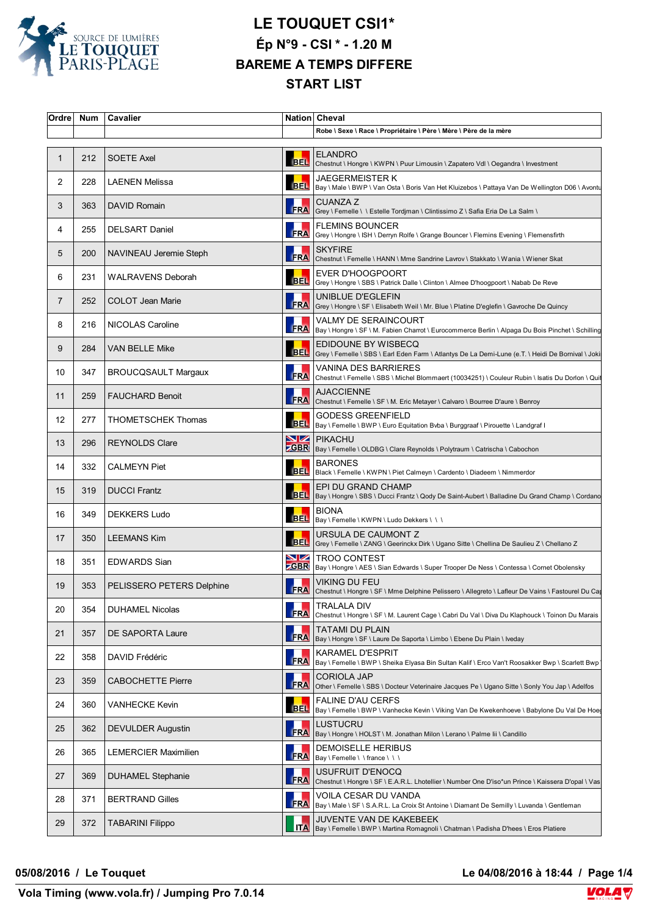

| Ordre        | Num | Cavalier                    |                               | Nation Cheval                                                                                                                    |
|--------------|-----|-----------------------------|-------------------------------|----------------------------------------------------------------------------------------------------------------------------------|
|              |     |                             |                               | Robe \ Sexe \ Race \ Propriétaire \ Père \ Mère \ Père de la mère                                                                |
| $\mathbf{1}$ | 212 | <b>SOETE Axel</b>           | <b>BEL</b>                    | <b>ELANDRO</b><br>Chestnut \ Hongre \ KWPN \ Puur Limousin \ Zapatero Vdl \ Oegandra \ Investment                                |
| 2            | 228 | <b>LAENEN Melissa</b>       |                               | JAEGERMEISTER K<br>BEL Bay \ Male \ BWP \ Van Osta \ Boris Van Het Kluizebos \ Pattaya Van De Wellington D06 \ Avontu            |
| 3            | 363 | DAVID Romain                | <b>FRA</b>                    | <b>CUANZA Z</b><br>Grey \ Femelle \ \ Estelle Tordjman \ Clintissimo Z \ Safia Eria De La Salm \                                 |
| 4            | 255 | <b>DELSART Daniel</b>       | <b>FRA</b>                    | <b>FLEMINS BOUNCER</b><br>Grey \ Hongre \ ISH \ Derryn Rolfe \ Grange Bouncer \ Flemins Evening \ Flemensfirth                   |
| 5            | 200 | NAVINEAU Jeremie Steph      | <b>FRA</b>                    | <b>SKYFIRE</b><br>Chestnut \ Femelle \ HANN \ Mme Sandrine Lavrov \ Stakkato \ Wania \ Wiener Skat                               |
| 6            | 231 | WALRAVENS Deborah           | <b>BEL</b>                    | EVER D'HOOGPOORT<br>Grey \ Hongre \ SBS \ Patrick Dalle \ Clinton \ Almee D'hoogpoort \ Nabab De Reve                            |
| 7            | 252 | <b>COLOT Jean Marie</b>     | <b>FRA</b>                    | UNIBLUE D'EGLEFIN<br> Grey \ Hongre \ SF \ Elisabeth Weil \ Mr. Blue \ Platine D'eglefin \ Gavroche De Quincy                    |
| 8            | 216 | NICOLAS Caroline            | FRA                           | <b>VALMY DE SERAINCOURT</b><br> Bay \ Hongre \ SF \ M. Fabien Charrot \ Eurocommerce Berlin \ Alpaga Du Bois Pinchet \ Schilling |
| 9            | 284 | <b>VAN BELLE Mike</b>       | <b>BEL</b>                    | EDIDOUNE BY WISBECQ<br>Grey \ Femelle \ SBS \ Earl Eden Farm \ Atlantys De La Demi-Lune (e.T. \ Heidi De Bornival \ Joki         |
| 10           | 347 | <b>BROUCQSAULT Margaux</b>  | <b>FRA</b>                    | VANINA DES BARRIERES<br>Chestnut \ Femelle \ SBS \ Michel Blommaert (10034251) \ Couleur Rubin \ Isatis Du Dorlon \ Quit         |
| 11           | 259 | <b>FAUCHARD Benoit</b>      | <b>FRA</b>                    | <b>AJACCIENNE</b><br>Chestnut \ Femelle \ SF \ M. Eric Metayer \ Calvaro \ Bourree D'aure \ Benroy                               |
| 12           | 277 | <b>THOMETSCHEK Thomas</b>   | <b>BEL</b>                    | <b>GODESS GREENFIELD</b><br>Bay \ Femelle \ BWP \ Euro Equitation Bvba \ Burggraaf \ Pirouette \ Landgraf I                      |
| 13           | 296 | <b>REYNOLDS Clare</b>       |                               | <b>NZ</b> PIKACHU<br><b>GBR</b>   Bay \ Femelle \ OLDBG \ Clare Reynolds \ Polytraum \ Catrischa \ Cabochon                      |
| 14           | 332 | <b>CALMEYN Piet</b>         | <b>BEL</b>                    | <b>BARONES</b><br>Black \ Femelle \ KWPN \ Piet Calmeyn \ Cardento \ Diadeem \ Nimmerdor                                         |
| 15           | 319 | <b>DUCCI Frantz</b>         | <b>BEL</b>                    | EPI DU GRAND CHAMP<br>Bay \ Hongre \ SBS \ Ducci Frantz \ Qody De Saint-Aubert \ Balladine Du Grand Champ \ Cordano              |
| 16           | 349 | <b>DEKKERS Ludo</b>         |                               | <b>BIONA</b><br>BEL Bay \ Femelle \ KWPN \ Ludo Dekkers \ \ \                                                                    |
| 17           | 350 | <b>LEEMANS Kim</b>          | <b>BEL</b>                    | URSULA DE CAUMONT Z<br>Grey \ Femelle \ ZANG \ Geerinckx Dirk \ Ugano Sitte \ Chellina De Saulieu Z \ Chellano Z                 |
| 18           | 351 | <b>EDWARDS Sian</b>         | $\blacksquare$<br><b>ZGBR</b> | <b>TROO CONTEST</b><br>Bay \ Hongre \ AES \ Sian Edwards \ Super Trooper De Ness \ Contessa \ Cornet Obolensky                   |
| 19           | 353 | PELISSERO PETERS Delphine   |                               | <b>VIKING DU FEU</b><br>FRA Chestnut \ Hongre \ SF \ Mme Delphine Pelissero \ Allegreto \ Lafleur De Vains \ Fastourel Du Ca     |
| 20           | 354 | <b>DUHAMEL Nicolas</b>      | <b>FRA</b>                    | <b>TRALALA DIV</b><br>Chestnut \ Hongre \ SF \ M. Laurent Cage \ Cabri Du Val \ Diva Du Klaphouck \ Toinon Du Marais             |
| 21           | 357 | DE SAPORTA Laure            | <b>FRA</b>                    | TATAMI DU PLAIN<br>Bay \ Hongre \ SF \ Laure De Saporta \ Limbo \ Ebene Du Plain \ Iveday                                        |
| 22           | 358 | DAVID Frédéric              | FRA                           | <b>KARAMEL D'ESPRIT</b><br>Bay \ Femelle \ BWP \ Sheika Elyasa Bin Sultan Kalif \ Erco Van't Roosakker Bwp \ Scarlett Bwp        |
| 23           | 359 | <b>CABOCHETTE Pierre</b>    | <b>FRA</b>                    | <b>CORIOLA JAP</b><br>Other \ Femelle \ SBS \ Docteur Veterinaire Jacques Pe \ Ugano Sitte \ Sonly You Jap \ Adelfos             |
| 24           | 360 | <b>VANHECKE Kevin</b>       | <b>BEL</b>                    | <b>FALINE D'AU CERFS</b><br>Bay \ Femelle \ BWP \ Vanhecke Kevin \ Viking Van De Kwekenhoeve \ Babylone Du Val De Hoe            |
| 25           | 362 | <b>DEVULDER Augustin</b>    |                               | LUSTUCRU<br>FRA   Bay \ Hongre \ HOLST \ M. Jonathan Milon \ Lerano \ Palme lii \ Candillo                                       |
| 26           | 365 | <b>LEMERCIER Maximilien</b> | <b>FRA</b>                    | <b>DEMOISELLE HERIBUS</b><br>Bay \ Femelle \ \ france \ \ \                                                                      |
| 27           | 369 | <b>DUHAMEL Stephanie</b>    | FRA                           | USUFRUIT D'ENOCQ<br>Chestnut \ Hongre \ SF \ E.A.R.L. Lhotellier \ Number One D'iso*un Prince \ Kaissera D'opal \ Vas            |
| 28           | 371 | <b>BERTRAND Gilles</b>      | FRA                           | VOILA CESAR DU VANDA<br>Bay \ Male \ SF \ S.A.R.L. La Croix St Antoine \ Diamant De Semilly \ Luvanda \ Gentleman                |
| 29           | 372 | <b>TABARINI Filippo</b>     | <b>ITA</b>                    | JUVENTE VAN DE KAKEBEEK<br>Bay \ Femelle \ BWP \ Martina Romagnoli \ Chatman \ Padisha D'hees \ Eros Platiere                    |
|              |     |                             |                               |                                                                                                                                  |

**05/08/2016 / Le Touquet Le 04/08/2016 à 18:44 / Page 1/4**

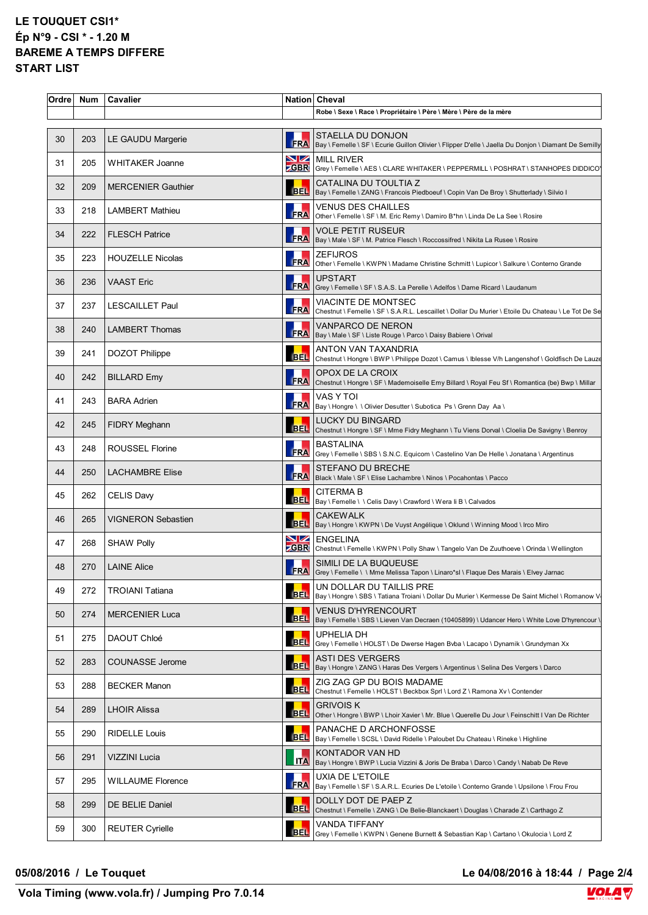| Robe \ Sexe \ Race \ Propriétaire \ Père \ Mère \ Père de la mère<br>STAELLA DU DONJON<br>203<br>LE GAUDU Margerie<br>FRA   Bay \ Femelle \ SF \ Ecurie Guillon Olivier \ Flipper D'elle \ Jaella Du Donjon \ Diamant De Semilly<br>MILL RIVER<br>205<br><b>WHITAKER Joanne</b><br><b>ZGBR</b> Grey \ Femelle \ AES \ CLARE WHITAKER \ PEPPERMILL \ POSHRAT \ STANHOPES DIDDICO<br>CATALINA DU TOULTIA Z<br>209<br><b>MERCENIER Gauthier</b><br>BEL   Bay \ Femelle \ ZANG \ Francois Piedboeuf \ Copin Van De Broy \ Shutterlady \ Silvio I<br>VENUS DES CHAILLES<br>218<br><b>LAMBERT Mathieu</b><br>FRA Other \ Femelle \ SF \ M. Eric Remy \ Damiro B*hn \ Linda De La See \ Rosire<br>VOLE PETIT RUSEUR<br><b>FLESCH Patrice</b><br>222<br>FRA   Bay \ Male \ SF \ M. Patrice Flesch \ Roccossifred \ Nikita La Rusee \ Rosire<br><b>ZEFIJROS</b><br>223<br><b>HOUZELLE Nicolas</b><br>FRA Other \ Femelle \ KWPN \ Madame Christine Schmitt \ Lupicor \ Salkure \ Conterno Grande<br><b>UPSTART</b><br><b>VAAST Eric</b><br>236<br>FRA Grey \ Femelle \ SF \ S.A.S. La Perelle \ Adelfos \ Dame Ricard \ Laudanum<br><b>VIACINTE DE MONTSEC</b><br>237<br><b>LESCAILLET Paul</b><br>FRA Chestnut \ Femelle \ SF \ S.A.R.L. Lescaillet \ Dollar Du Murier \ Etoile Du Chateau \ Le Tot De Se<br><b>VANPARCO DE NERON</b><br><b>LAMBERT Thomas</b><br>240<br>FRA   Bay \ Male \ SF \ Liste Rouge \ Parco \ Daisy Babiere \ Orival<br>ANTON VAN TAXANDRIA<br>241<br>DOZOT Philippe<br><b>BEL</b><br>Chestnut \ Hongre \ BWP \ Philippe Dozot \ Camus \ Iblesse V/h Langenshof \ Goldfisch De Lauze<br>OPOX DE LA CROIX<br>242<br><b>BILLARD Emy</b><br><b>FRA</b><br>Chestnut \ Hongre \ SF \ Mademoiselle Emy Billard \ Royal Feu Sf \ Romantica (be) Bwp \ Millar<br>VAS Y TOI<br>243<br><b>BARA Adrien</b><br>FRA   Bay \ Hongre \ \ Olivier Desutter \ Subotica Ps \ Grenn Day Aa \<br><b>LUCKY DU BINGARD</b><br>245<br>FIDRY Meghann<br>BEL Chestnut \ Hongre \ SF \ Mme Fidry Meghann \ Tu Viens Dorval \ Cloelia De Savigny \ Benroy<br>BASTALINA<br>248<br><b>ROUSSEL Florine</b><br>FRA Grey \ Femelle \ SBS \ S.N.C. Equicom \ Castelino Van De Helle \ Jonatana \ Argentinus<br>STEFANO DU BRECHE<br>250<br><b>LACHAMBRE Elise</b><br>FRA   Black \ Male \ SF \ Elise Lachambre \ Ninos \ Pocahontas \ Pacco<br><b>CITERMA B</b><br>262<br><b>CELIS Davy</b><br>BEL   Bay \ Femelle \ \ Celis Davy \ Crawford \ Wera li B \ Calvados<br><b>CAKEWALK</b><br>265<br><b>VIGNERON Sebastien</b><br>EBEL Bay \ Hongre \ KWPN \ De Vuyst Angélique \ Oklund \ Winning Mood \ Irco Miro<br>ENGELINA<br>268<br><b>SHAW Polly</b><br><b>ZGBR</b> Chestnut \ Femelle \ KWPN \ Polly Shaw \ Tangelo Van De Zuuthoeve \ Orinda \ Wellington<br>SIMILI DE LA BUQUEUSE<br><b>LAINE Alice</b><br>270<br>FRA Grey \ Femelle \ \ Mme Melissa Tapon \ Linaro*sl \ Flaque Des Marais \ Elvey Jarnac<br>UN DOLLAR DU TAILLIS PRE<br>272<br><b>TROIANI Tatiana</b><br>BEL Bay \ Hongre \ SBS \ Tatiana Troiani \ Dollar Du Murier \ Kermesse De Saint Michel \ Romanow V<br><b>VENUS D'HYRENCOURT</b><br>274<br><b>MERCENIER Luca</b><br>BEL   Bay \ Femelle \ SBS \ Lieven Van Decraen (10405899) \ Udancer Hero \ White Love D'hyrencour \<br>UPHELIA DH<br>275<br>DAOUT Chloé<br><b>BEL</b><br>Grey \ Femelle \ HOLST \ De Dwerse Hagen Bvba \ Lacapo \ Dynamik \ Grundyman Xx<br><b>ASTI DES VERGERS</b><br><b>COUNASSE Jerome</b><br>283<br>BEL   Bay \ Hongre \ ZANG \ Haras Des Vergers \ Argentinus \ Selina Des Vergers \ Darco<br>ZIG ZAG GP DU BOIS MADAME<br>288<br><b>BECKER Manon</b><br><b>BEL</b><br>Chestnut \ Femelle \ HOLST \ Beckbox Sprl \ Lord Z \ Ramona Xv \ Contender<br><b>GRIVOIS K</b><br>289<br><b>LHOIR Alissa</b><br><b>BEL</b><br>Other \ Hongre \ BWP \ Lhoir Xavier \ Mr. Blue \ Querelle Du Jour \ Feinschitt I Van De Richter<br>PANACHE D ARCHONFOSSE<br>290<br><b>RIDELLE Louis</b><br>BEL   Bay \ Femelle \ SCSL \ David Ridelle \ Paloubet Du Chateau \ Rineke \ Highline<br>KONTADOR VAN HD<br>291<br>VIZZINI Lucia<br>ITA   Bay \ Hongre \ BWP \ Lucia Vizzini & Joris De Braba \ Darco \ Candy \ Nabab De Reve<br>UXIA DE L'ETOILE<br>295<br><b>WILLAUME Florence</b><br>FRA  Bay \ Femelle \ SF \ S.A.R.L. Ecuries De L'etoile \ Conterno Grande \ Upsilone \ Frou Frou<br>DOLLY DOT DE PAEP Z<br>299<br>DE BELIE Daniel<br>BEL Chestnut \ Femelle \ ZANG \ De Belie-Blanckaert \ Douglas \ Charade Z \ Carthago Z<br>VANDA TIFFANY<br>300<br><b>REUTER Cyrielle</b> | Ordre | Num | Cavalier | Nation Cheval                                                                            |
|-------------------------------------------------------------------------------------------------------------------------------------------------------------------------------------------------------------------------------------------------------------------------------------------------------------------------------------------------------------------------------------------------------------------------------------------------------------------------------------------------------------------------------------------------------------------------------------------------------------------------------------------------------------------------------------------------------------------------------------------------------------------------------------------------------------------------------------------------------------------------------------------------------------------------------------------------------------------------------------------------------------------------------------------------------------------------------------------------------------------------------------------------------------------------------------------------------------------------------------------------------------------------------------------------------------------------------------------------------------------------------------------------------------------------------------------------------------------------------------------------------------------------------------------------------------------------------------------------------------------------------------------------------------------------------------------------------------------------------------------------------------------------------------------------------------------------------------------------------------------------------------------------------------------------------------------------------------------------------------------------------------------------------------------------------------------------------------------------------------------------------------------------------------------------------------------------------------------------------------------------------------------------------------------------------------------------------------------------------------------------------------------------------------------------------------------------------------------------------------------------------------------------------------------------------------------------------------------------------------------------------------------------------------------------------------------------------------------------------------------------------------------------------------------------------------------------------------------------------------------------------------------------------------------------------------------------------------------------------------------------------------------------------------------------------------------------------------------------------------------------------------------------------------------------------------------------------------------------------------------------------------------------------------------------------------------------------------------------------------------------------------------------------------------------------------------------------------------------------------------------------------------------------------------------------------------------------------------------------------------------------------------------------------------------------------------------------------------------------------------------------------------------------------------------------------------------------------------------------------------------------------------------------------------------------------------------------------------------------------------------------------------------------------------------------------------------------------------------------------------------------------------------------------------------------------------------------------------------------------------------------------------------------------------------------------------------------------------------------------------------------------------------------------------------------------------------------------------------------------------------------------|-------|-----|----------|------------------------------------------------------------------------------------------|
|                                                                                                                                                                                                                                                                                                                                                                                                                                                                                                                                                                                                                                                                                                                                                                                                                                                                                                                                                                                                                                                                                                                                                                                                                                                                                                                                                                                                                                                                                                                                                                                                                                                                                                                                                                                                                                                                                                                                                                                                                                                                                                                                                                                                                                                                                                                                                                                                                                                                                                                                                                                                                                                                                                                                                                                                                                                                                                                                                                                                                                                                                                                                                                                                                                                                                                                                                                                                                                                                                                                                                                                                                                                                                                                                                                                                                                                                                                                                                                                                                                                                                                                                                                                                                                                                                                                                                                                                                                                                                                             |       |     |          |                                                                                          |
|                                                                                                                                                                                                                                                                                                                                                                                                                                                                                                                                                                                                                                                                                                                                                                                                                                                                                                                                                                                                                                                                                                                                                                                                                                                                                                                                                                                                                                                                                                                                                                                                                                                                                                                                                                                                                                                                                                                                                                                                                                                                                                                                                                                                                                                                                                                                                                                                                                                                                                                                                                                                                                                                                                                                                                                                                                                                                                                                                                                                                                                                                                                                                                                                                                                                                                                                                                                                                                                                                                                                                                                                                                                                                                                                                                                                                                                                                                                                                                                                                                                                                                                                                                                                                                                                                                                                                                                                                                                                                                             | 30    |     |          |                                                                                          |
|                                                                                                                                                                                                                                                                                                                                                                                                                                                                                                                                                                                                                                                                                                                                                                                                                                                                                                                                                                                                                                                                                                                                                                                                                                                                                                                                                                                                                                                                                                                                                                                                                                                                                                                                                                                                                                                                                                                                                                                                                                                                                                                                                                                                                                                                                                                                                                                                                                                                                                                                                                                                                                                                                                                                                                                                                                                                                                                                                                                                                                                                                                                                                                                                                                                                                                                                                                                                                                                                                                                                                                                                                                                                                                                                                                                                                                                                                                                                                                                                                                                                                                                                                                                                                                                                                                                                                                                                                                                                                                             | 31    |     |          |                                                                                          |
|                                                                                                                                                                                                                                                                                                                                                                                                                                                                                                                                                                                                                                                                                                                                                                                                                                                                                                                                                                                                                                                                                                                                                                                                                                                                                                                                                                                                                                                                                                                                                                                                                                                                                                                                                                                                                                                                                                                                                                                                                                                                                                                                                                                                                                                                                                                                                                                                                                                                                                                                                                                                                                                                                                                                                                                                                                                                                                                                                                                                                                                                                                                                                                                                                                                                                                                                                                                                                                                                                                                                                                                                                                                                                                                                                                                                                                                                                                                                                                                                                                                                                                                                                                                                                                                                                                                                                                                                                                                                                                             | 32    |     |          |                                                                                          |
|                                                                                                                                                                                                                                                                                                                                                                                                                                                                                                                                                                                                                                                                                                                                                                                                                                                                                                                                                                                                                                                                                                                                                                                                                                                                                                                                                                                                                                                                                                                                                                                                                                                                                                                                                                                                                                                                                                                                                                                                                                                                                                                                                                                                                                                                                                                                                                                                                                                                                                                                                                                                                                                                                                                                                                                                                                                                                                                                                                                                                                                                                                                                                                                                                                                                                                                                                                                                                                                                                                                                                                                                                                                                                                                                                                                                                                                                                                                                                                                                                                                                                                                                                                                                                                                                                                                                                                                                                                                                                                             | 33    |     |          |                                                                                          |
|                                                                                                                                                                                                                                                                                                                                                                                                                                                                                                                                                                                                                                                                                                                                                                                                                                                                                                                                                                                                                                                                                                                                                                                                                                                                                                                                                                                                                                                                                                                                                                                                                                                                                                                                                                                                                                                                                                                                                                                                                                                                                                                                                                                                                                                                                                                                                                                                                                                                                                                                                                                                                                                                                                                                                                                                                                                                                                                                                                                                                                                                                                                                                                                                                                                                                                                                                                                                                                                                                                                                                                                                                                                                                                                                                                                                                                                                                                                                                                                                                                                                                                                                                                                                                                                                                                                                                                                                                                                                                                             | 34    |     |          |                                                                                          |
|                                                                                                                                                                                                                                                                                                                                                                                                                                                                                                                                                                                                                                                                                                                                                                                                                                                                                                                                                                                                                                                                                                                                                                                                                                                                                                                                                                                                                                                                                                                                                                                                                                                                                                                                                                                                                                                                                                                                                                                                                                                                                                                                                                                                                                                                                                                                                                                                                                                                                                                                                                                                                                                                                                                                                                                                                                                                                                                                                                                                                                                                                                                                                                                                                                                                                                                                                                                                                                                                                                                                                                                                                                                                                                                                                                                                                                                                                                                                                                                                                                                                                                                                                                                                                                                                                                                                                                                                                                                                                                             | 35    |     |          |                                                                                          |
|                                                                                                                                                                                                                                                                                                                                                                                                                                                                                                                                                                                                                                                                                                                                                                                                                                                                                                                                                                                                                                                                                                                                                                                                                                                                                                                                                                                                                                                                                                                                                                                                                                                                                                                                                                                                                                                                                                                                                                                                                                                                                                                                                                                                                                                                                                                                                                                                                                                                                                                                                                                                                                                                                                                                                                                                                                                                                                                                                                                                                                                                                                                                                                                                                                                                                                                                                                                                                                                                                                                                                                                                                                                                                                                                                                                                                                                                                                                                                                                                                                                                                                                                                                                                                                                                                                                                                                                                                                                                                                             | 36    |     |          |                                                                                          |
|                                                                                                                                                                                                                                                                                                                                                                                                                                                                                                                                                                                                                                                                                                                                                                                                                                                                                                                                                                                                                                                                                                                                                                                                                                                                                                                                                                                                                                                                                                                                                                                                                                                                                                                                                                                                                                                                                                                                                                                                                                                                                                                                                                                                                                                                                                                                                                                                                                                                                                                                                                                                                                                                                                                                                                                                                                                                                                                                                                                                                                                                                                                                                                                                                                                                                                                                                                                                                                                                                                                                                                                                                                                                                                                                                                                                                                                                                                                                                                                                                                                                                                                                                                                                                                                                                                                                                                                                                                                                                                             | 37    |     |          |                                                                                          |
|                                                                                                                                                                                                                                                                                                                                                                                                                                                                                                                                                                                                                                                                                                                                                                                                                                                                                                                                                                                                                                                                                                                                                                                                                                                                                                                                                                                                                                                                                                                                                                                                                                                                                                                                                                                                                                                                                                                                                                                                                                                                                                                                                                                                                                                                                                                                                                                                                                                                                                                                                                                                                                                                                                                                                                                                                                                                                                                                                                                                                                                                                                                                                                                                                                                                                                                                                                                                                                                                                                                                                                                                                                                                                                                                                                                                                                                                                                                                                                                                                                                                                                                                                                                                                                                                                                                                                                                                                                                                                                             | 38    |     |          |                                                                                          |
|                                                                                                                                                                                                                                                                                                                                                                                                                                                                                                                                                                                                                                                                                                                                                                                                                                                                                                                                                                                                                                                                                                                                                                                                                                                                                                                                                                                                                                                                                                                                                                                                                                                                                                                                                                                                                                                                                                                                                                                                                                                                                                                                                                                                                                                                                                                                                                                                                                                                                                                                                                                                                                                                                                                                                                                                                                                                                                                                                                                                                                                                                                                                                                                                                                                                                                                                                                                                                                                                                                                                                                                                                                                                                                                                                                                                                                                                                                                                                                                                                                                                                                                                                                                                                                                                                                                                                                                                                                                                                                             | 39    |     |          |                                                                                          |
|                                                                                                                                                                                                                                                                                                                                                                                                                                                                                                                                                                                                                                                                                                                                                                                                                                                                                                                                                                                                                                                                                                                                                                                                                                                                                                                                                                                                                                                                                                                                                                                                                                                                                                                                                                                                                                                                                                                                                                                                                                                                                                                                                                                                                                                                                                                                                                                                                                                                                                                                                                                                                                                                                                                                                                                                                                                                                                                                                                                                                                                                                                                                                                                                                                                                                                                                                                                                                                                                                                                                                                                                                                                                                                                                                                                                                                                                                                                                                                                                                                                                                                                                                                                                                                                                                                                                                                                                                                                                                                             | 40    |     |          |                                                                                          |
|                                                                                                                                                                                                                                                                                                                                                                                                                                                                                                                                                                                                                                                                                                                                                                                                                                                                                                                                                                                                                                                                                                                                                                                                                                                                                                                                                                                                                                                                                                                                                                                                                                                                                                                                                                                                                                                                                                                                                                                                                                                                                                                                                                                                                                                                                                                                                                                                                                                                                                                                                                                                                                                                                                                                                                                                                                                                                                                                                                                                                                                                                                                                                                                                                                                                                                                                                                                                                                                                                                                                                                                                                                                                                                                                                                                                                                                                                                                                                                                                                                                                                                                                                                                                                                                                                                                                                                                                                                                                                                             | 41    |     |          |                                                                                          |
|                                                                                                                                                                                                                                                                                                                                                                                                                                                                                                                                                                                                                                                                                                                                                                                                                                                                                                                                                                                                                                                                                                                                                                                                                                                                                                                                                                                                                                                                                                                                                                                                                                                                                                                                                                                                                                                                                                                                                                                                                                                                                                                                                                                                                                                                                                                                                                                                                                                                                                                                                                                                                                                                                                                                                                                                                                                                                                                                                                                                                                                                                                                                                                                                                                                                                                                                                                                                                                                                                                                                                                                                                                                                                                                                                                                                                                                                                                                                                                                                                                                                                                                                                                                                                                                                                                                                                                                                                                                                                                             | 42    |     |          |                                                                                          |
|                                                                                                                                                                                                                                                                                                                                                                                                                                                                                                                                                                                                                                                                                                                                                                                                                                                                                                                                                                                                                                                                                                                                                                                                                                                                                                                                                                                                                                                                                                                                                                                                                                                                                                                                                                                                                                                                                                                                                                                                                                                                                                                                                                                                                                                                                                                                                                                                                                                                                                                                                                                                                                                                                                                                                                                                                                                                                                                                                                                                                                                                                                                                                                                                                                                                                                                                                                                                                                                                                                                                                                                                                                                                                                                                                                                                                                                                                                                                                                                                                                                                                                                                                                                                                                                                                                                                                                                                                                                                                                             | 43    |     |          |                                                                                          |
|                                                                                                                                                                                                                                                                                                                                                                                                                                                                                                                                                                                                                                                                                                                                                                                                                                                                                                                                                                                                                                                                                                                                                                                                                                                                                                                                                                                                                                                                                                                                                                                                                                                                                                                                                                                                                                                                                                                                                                                                                                                                                                                                                                                                                                                                                                                                                                                                                                                                                                                                                                                                                                                                                                                                                                                                                                                                                                                                                                                                                                                                                                                                                                                                                                                                                                                                                                                                                                                                                                                                                                                                                                                                                                                                                                                                                                                                                                                                                                                                                                                                                                                                                                                                                                                                                                                                                                                                                                                                                                             | 44    |     |          |                                                                                          |
|                                                                                                                                                                                                                                                                                                                                                                                                                                                                                                                                                                                                                                                                                                                                                                                                                                                                                                                                                                                                                                                                                                                                                                                                                                                                                                                                                                                                                                                                                                                                                                                                                                                                                                                                                                                                                                                                                                                                                                                                                                                                                                                                                                                                                                                                                                                                                                                                                                                                                                                                                                                                                                                                                                                                                                                                                                                                                                                                                                                                                                                                                                                                                                                                                                                                                                                                                                                                                                                                                                                                                                                                                                                                                                                                                                                                                                                                                                                                                                                                                                                                                                                                                                                                                                                                                                                                                                                                                                                                                                             | 45    |     |          |                                                                                          |
|                                                                                                                                                                                                                                                                                                                                                                                                                                                                                                                                                                                                                                                                                                                                                                                                                                                                                                                                                                                                                                                                                                                                                                                                                                                                                                                                                                                                                                                                                                                                                                                                                                                                                                                                                                                                                                                                                                                                                                                                                                                                                                                                                                                                                                                                                                                                                                                                                                                                                                                                                                                                                                                                                                                                                                                                                                                                                                                                                                                                                                                                                                                                                                                                                                                                                                                                                                                                                                                                                                                                                                                                                                                                                                                                                                                                                                                                                                                                                                                                                                                                                                                                                                                                                                                                                                                                                                                                                                                                                                             | 46    |     |          |                                                                                          |
|                                                                                                                                                                                                                                                                                                                                                                                                                                                                                                                                                                                                                                                                                                                                                                                                                                                                                                                                                                                                                                                                                                                                                                                                                                                                                                                                                                                                                                                                                                                                                                                                                                                                                                                                                                                                                                                                                                                                                                                                                                                                                                                                                                                                                                                                                                                                                                                                                                                                                                                                                                                                                                                                                                                                                                                                                                                                                                                                                                                                                                                                                                                                                                                                                                                                                                                                                                                                                                                                                                                                                                                                                                                                                                                                                                                                                                                                                                                                                                                                                                                                                                                                                                                                                                                                                                                                                                                                                                                                                                             | 47    |     |          |                                                                                          |
|                                                                                                                                                                                                                                                                                                                                                                                                                                                                                                                                                                                                                                                                                                                                                                                                                                                                                                                                                                                                                                                                                                                                                                                                                                                                                                                                                                                                                                                                                                                                                                                                                                                                                                                                                                                                                                                                                                                                                                                                                                                                                                                                                                                                                                                                                                                                                                                                                                                                                                                                                                                                                                                                                                                                                                                                                                                                                                                                                                                                                                                                                                                                                                                                                                                                                                                                                                                                                                                                                                                                                                                                                                                                                                                                                                                                                                                                                                                                                                                                                                                                                                                                                                                                                                                                                                                                                                                                                                                                                                             | 48    |     |          |                                                                                          |
|                                                                                                                                                                                                                                                                                                                                                                                                                                                                                                                                                                                                                                                                                                                                                                                                                                                                                                                                                                                                                                                                                                                                                                                                                                                                                                                                                                                                                                                                                                                                                                                                                                                                                                                                                                                                                                                                                                                                                                                                                                                                                                                                                                                                                                                                                                                                                                                                                                                                                                                                                                                                                                                                                                                                                                                                                                                                                                                                                                                                                                                                                                                                                                                                                                                                                                                                                                                                                                                                                                                                                                                                                                                                                                                                                                                                                                                                                                                                                                                                                                                                                                                                                                                                                                                                                                                                                                                                                                                                                                             | 49    |     |          |                                                                                          |
|                                                                                                                                                                                                                                                                                                                                                                                                                                                                                                                                                                                                                                                                                                                                                                                                                                                                                                                                                                                                                                                                                                                                                                                                                                                                                                                                                                                                                                                                                                                                                                                                                                                                                                                                                                                                                                                                                                                                                                                                                                                                                                                                                                                                                                                                                                                                                                                                                                                                                                                                                                                                                                                                                                                                                                                                                                                                                                                                                                                                                                                                                                                                                                                                                                                                                                                                                                                                                                                                                                                                                                                                                                                                                                                                                                                                                                                                                                                                                                                                                                                                                                                                                                                                                                                                                                                                                                                                                                                                                                             | 50    |     |          |                                                                                          |
|                                                                                                                                                                                                                                                                                                                                                                                                                                                                                                                                                                                                                                                                                                                                                                                                                                                                                                                                                                                                                                                                                                                                                                                                                                                                                                                                                                                                                                                                                                                                                                                                                                                                                                                                                                                                                                                                                                                                                                                                                                                                                                                                                                                                                                                                                                                                                                                                                                                                                                                                                                                                                                                                                                                                                                                                                                                                                                                                                                                                                                                                                                                                                                                                                                                                                                                                                                                                                                                                                                                                                                                                                                                                                                                                                                                                                                                                                                                                                                                                                                                                                                                                                                                                                                                                                                                                                                                                                                                                                                             | 51    |     |          |                                                                                          |
|                                                                                                                                                                                                                                                                                                                                                                                                                                                                                                                                                                                                                                                                                                                                                                                                                                                                                                                                                                                                                                                                                                                                                                                                                                                                                                                                                                                                                                                                                                                                                                                                                                                                                                                                                                                                                                                                                                                                                                                                                                                                                                                                                                                                                                                                                                                                                                                                                                                                                                                                                                                                                                                                                                                                                                                                                                                                                                                                                                                                                                                                                                                                                                                                                                                                                                                                                                                                                                                                                                                                                                                                                                                                                                                                                                                                                                                                                                                                                                                                                                                                                                                                                                                                                                                                                                                                                                                                                                                                                                             | 52    |     |          |                                                                                          |
|                                                                                                                                                                                                                                                                                                                                                                                                                                                                                                                                                                                                                                                                                                                                                                                                                                                                                                                                                                                                                                                                                                                                                                                                                                                                                                                                                                                                                                                                                                                                                                                                                                                                                                                                                                                                                                                                                                                                                                                                                                                                                                                                                                                                                                                                                                                                                                                                                                                                                                                                                                                                                                                                                                                                                                                                                                                                                                                                                                                                                                                                                                                                                                                                                                                                                                                                                                                                                                                                                                                                                                                                                                                                                                                                                                                                                                                                                                                                                                                                                                                                                                                                                                                                                                                                                                                                                                                                                                                                                                             | 53    |     |          |                                                                                          |
|                                                                                                                                                                                                                                                                                                                                                                                                                                                                                                                                                                                                                                                                                                                                                                                                                                                                                                                                                                                                                                                                                                                                                                                                                                                                                                                                                                                                                                                                                                                                                                                                                                                                                                                                                                                                                                                                                                                                                                                                                                                                                                                                                                                                                                                                                                                                                                                                                                                                                                                                                                                                                                                                                                                                                                                                                                                                                                                                                                                                                                                                                                                                                                                                                                                                                                                                                                                                                                                                                                                                                                                                                                                                                                                                                                                                                                                                                                                                                                                                                                                                                                                                                                                                                                                                                                                                                                                                                                                                                                             | 54    |     |          |                                                                                          |
|                                                                                                                                                                                                                                                                                                                                                                                                                                                                                                                                                                                                                                                                                                                                                                                                                                                                                                                                                                                                                                                                                                                                                                                                                                                                                                                                                                                                                                                                                                                                                                                                                                                                                                                                                                                                                                                                                                                                                                                                                                                                                                                                                                                                                                                                                                                                                                                                                                                                                                                                                                                                                                                                                                                                                                                                                                                                                                                                                                                                                                                                                                                                                                                                                                                                                                                                                                                                                                                                                                                                                                                                                                                                                                                                                                                                                                                                                                                                                                                                                                                                                                                                                                                                                                                                                                                                                                                                                                                                                                             | 55    |     |          |                                                                                          |
|                                                                                                                                                                                                                                                                                                                                                                                                                                                                                                                                                                                                                                                                                                                                                                                                                                                                                                                                                                                                                                                                                                                                                                                                                                                                                                                                                                                                                                                                                                                                                                                                                                                                                                                                                                                                                                                                                                                                                                                                                                                                                                                                                                                                                                                                                                                                                                                                                                                                                                                                                                                                                                                                                                                                                                                                                                                                                                                                                                                                                                                                                                                                                                                                                                                                                                                                                                                                                                                                                                                                                                                                                                                                                                                                                                                                                                                                                                                                                                                                                                                                                                                                                                                                                                                                                                                                                                                                                                                                                                             | 56    |     |          |                                                                                          |
|                                                                                                                                                                                                                                                                                                                                                                                                                                                                                                                                                                                                                                                                                                                                                                                                                                                                                                                                                                                                                                                                                                                                                                                                                                                                                                                                                                                                                                                                                                                                                                                                                                                                                                                                                                                                                                                                                                                                                                                                                                                                                                                                                                                                                                                                                                                                                                                                                                                                                                                                                                                                                                                                                                                                                                                                                                                                                                                                                                                                                                                                                                                                                                                                                                                                                                                                                                                                                                                                                                                                                                                                                                                                                                                                                                                                                                                                                                                                                                                                                                                                                                                                                                                                                                                                                                                                                                                                                                                                                                             | 57    |     |          |                                                                                          |
|                                                                                                                                                                                                                                                                                                                                                                                                                                                                                                                                                                                                                                                                                                                                                                                                                                                                                                                                                                                                                                                                                                                                                                                                                                                                                                                                                                                                                                                                                                                                                                                                                                                                                                                                                                                                                                                                                                                                                                                                                                                                                                                                                                                                                                                                                                                                                                                                                                                                                                                                                                                                                                                                                                                                                                                                                                                                                                                                                                                                                                                                                                                                                                                                                                                                                                                                                                                                                                                                                                                                                                                                                                                                                                                                                                                                                                                                                                                                                                                                                                                                                                                                                                                                                                                                                                                                                                                                                                                                                                             | 58    |     |          |                                                                                          |
|                                                                                                                                                                                                                                                                                                                                                                                                                                                                                                                                                                                                                                                                                                                                                                                                                                                                                                                                                                                                                                                                                                                                                                                                                                                                                                                                                                                                                                                                                                                                                                                                                                                                                                                                                                                                                                                                                                                                                                                                                                                                                                                                                                                                                                                                                                                                                                                                                                                                                                                                                                                                                                                                                                                                                                                                                                                                                                                                                                                                                                                                                                                                                                                                                                                                                                                                                                                                                                                                                                                                                                                                                                                                                                                                                                                                                                                                                                                                                                                                                                                                                                                                                                                                                                                                                                                                                                                                                                                                                                             | 59    |     |          | BEL Grey \ Femelle \ KWPN \ Genene Burnett & Sebastian Kap \ Cartano \ Okulocia \ Lord Z |

## **05/08/2016 / Le Touquet Le 04/08/2016 à 18:44 / Page 2/4**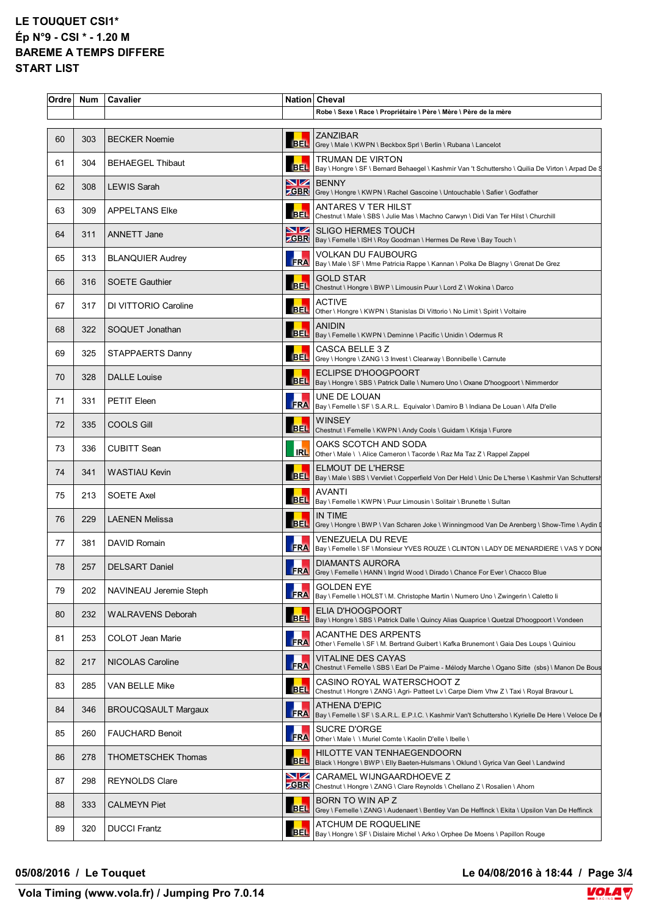| Ordre | <b>Num</b> | <b>Cavalier</b>            |            | Nation Cheval                                                                                                                       |
|-------|------------|----------------------------|------------|-------------------------------------------------------------------------------------------------------------------------------------|
|       |            |                            |            | Robe \ Sexe \ Race \ Propriétaire \ Père \ Mère \ Père de la mère                                                                   |
| 60    | 303        | <b>BECKER Noemie</b>       |            | <b>ZANZIBAR</b><br>BEL Grey \ Male \ KWPN \ Beckbox Sprl \ Berlin \ Rubana \ Lancelot                                               |
| 61    | 304        | <b>BEHAEGEL Thibaut</b>    |            | <b>TRUMAN DE VIRTON</b><br>BEL   Bay \ Hongre \ SF \ Bernard Behaegel \ Kashmir Van 't Schuttersho \ Quilia De Virton \ Arpad De \$ |
| 62    | 308        | <b>LEWIS Sarah</b>         | NZ.        | <b>BENNY</b><br>ZGBR Grey \ Hongre \ KWPN \ Rachel Gascoine \ Untouchable \ Safier \ Godfather                                      |
| 63    | 309        | <b>APPELTANS Elke</b>      |            | ANTARES V TER HILST<br>BEL Chestnut \ Male \ SBS \ Julie Mas \ Machno Carwyn \ Didi Van Ter Hilst \ Churchill                       |
| 64    | 311        | ANNETT Jane                |            | SIZ SLIGO HERMES TOUCH<br><b>ZGBR</b>   Bay \ Femelle \ ISH \ Roy Goodman \ Hermes De Reve \ Bay Touch \                            |
| 65    | 313        | <b>BLANQUIER Audrey</b>    |            | <b>VOLKAN DU FAUBOURG</b><br>FRA   Bay \ Male \ SF \ Mme Patricia Rappe \ Kannan \ Polka De Blagny \ Grenat De Grez                 |
| 66    | 316        | <b>SOETE Gauthier</b>      |            | <b>GOLD STAR</b><br>BEL Chestnut \ Hongre \ BWP \ Limousin Puur \ Lord Z \ Wokina \ Darco                                           |
| 67    | 317        | DI VITTORIO Caroline       |            | <b>ACTIVE</b><br>BEL Other \ Hongre \ KWPN \ Stanislas Di Vittorio \ No Limit \ Spirit \ Voltaire                                   |
| 68    | 322        | SOQUET Jonathan            |            | <b>ANIDIN</b><br>BEL   Bay \ Femelle \ KWPN \ Deminne \ Pacific \ Unidin \ Odermus R                                                |
| 69    | 325        | STAPPAERTS Danny           |            | CASCA BELLE 3 Z<br>BEL Grey \ Hongre \ ZANG \ 3 Invest \ Clearway \ Bonnibelle \ Carnute                                            |
| 70    | 328        | <b>DALLE</b> Louise        |            | <b>ECLIPSE D'HOOGPOORT</b><br>BEL   Bay \ Hongre \ SBS \ Patrick Dalle \ Numero Uno \ Oxane D'hoogpoort \ Nimmerdor                 |
| 71    | 331        | <b>PETIT Eleen</b>         |            | UNE DE LOUAN<br>FRA  Bay \ Femelle \ SF \ S.A.R.L. Equivalor \ Damiro B \ Indiana De Louan \ Alfa D'elle                            |
| 72    | 335        | <b>COOLS Gill</b>          |            | <b>WINSEY</b><br>BEL Chestnut \ Femelle \ KWPN \ Andy Cools \ Guidam \ Krisja \ Furore                                              |
| 73    | 336        | <b>CUBITT Sean</b>         |            | OAKS SCOTCH AND SODA<br><b>IRL</b> Other \ Male \ \ Alice Cameron \ Tacorde \ Raz Ma Taz Z \ Rappel Zappel                          |
| 74    | 341        | <b>WASTIAU Kevin</b>       |            | ELMOUT DE L'HERSE<br>BEL  Bay \ Male \ SBS \ Vervliet \ Copperfield Von Der Held \ Unic De L'herse \ Kashmir Van Schuttersh         |
| 75    | 213        | <b>SOETE Axel</b>          |            | AVANTI<br>BEL   Bay \ Femelle \ KWPN \ Puur Limousin \ Solitair \ Brunette \ Sultan                                                 |
| 76    | 229        | <b>LAENEN Melissa</b>      |            | <b>IN TIME</b><br>BEL Grey \ Hongre \ BWP \ Van Scharen Joke \ Winningmood Van De Arenberg \ Show-Time \ Aydin [                    |
| 77    | 381        | DAVID Romain               |            | VENEZUELA DU REVE<br>FRA Bay \ Femelle \ SF \ Monsieur YVES ROUZE \ CLINTON \ LADY DE MENARDIERE \ VAS Y DON                        |
| 78    | 257        | <b>DELSART</b> Daniel      |            | <b>DIAMANTS AURORA</b><br>FRA   Grey \ Femelle \ HANN \ Ingrid Wood \ Dirado \ Chance For Ever \ Chacco Blue                        |
| 79    | 202        | NAVINEAU Jeremie Steph     | <b>FRA</b> | <b>GOLDEN EYE</b><br>Bay \ Femelle \ HOLST \ M. Christophe Martin \ Numero Uno \ Zwingerin \ Caletto li                             |
| 80    | 232        | <b>WALRAVENS Deborah</b>   |            | <b>ELIA D'HOOGPOORT</b><br>BEL   Bay \ Hongre \ SBS \ Patrick Dalle \ Quincy Alias Quaprice \ Quetzal D'hoogpoort \ Vondeen         |
| 81    | 253        | COLOT Jean Marie           | <b>FRA</b> | <b>ACANTHE DES ARPENTS</b><br>Other \ Femelle \ SF \ M. Bertrand Guibert \ Kafka Brunemont \ Gaia Des Loups \ Quiniou               |
| 82    | 217        | <b>NICOLAS Caroline</b>    |            | VITALINE DES CAYAS<br>FRA Chestnut \ Femelle \ SBS \ Earl De P'aime - Mélody Marche \ Ogano Sitte (sbs) \ Manon De Bous             |
| 83    | 285        | VAN BELLE Mike             |            | CASINO ROYAL WATERSCHOOT Z<br>BEL Chestnut \ Hongre \ ZANG \ Agri- Patteet Lv \ Carpe Diem Vhw Z \ Taxi \ Royal Bravour L           |
| 84    | 346        | <b>BROUCQSAULT Margaux</b> | <b>FRA</b> | ATHENA D'EPIC<br>Bay \ Femelle \ SF \ S.A.R.L. E.P.I.C. \ Kashmir Van't Schuttersho \ Kyrielle De Here \ Veloce De \                |
| 85    | 260        | <b>FAUCHARD Benoit</b>     | <b>FRA</b> | SUCRE D'ORGE<br>Other \ Male \ \ Muriel Comte \ Kaolin D'elle \ Ibelle \                                                            |
| 86    | 278        | <b>THOMETSCHEK Thomas</b>  | <b>BEL</b> | HILOTTE VAN TENHAEGENDOORN<br>Black \ Hongre \ BWP \ Elly Baeten-Hulsmans \ Oklund \ Gyrica Van Geel \ Landwind                     |
| 87    | 298        | <b>REYNOLDS Clare</b>      | VZ         | CARAMEL WIJNGAARDHOEVE Z<br><b>ZGBR</b> Chestnut \ Hongre \ ZANG \ Clare Reynolds \ Chellano Z \ Rosalien \ Ahorn                   |
| 88    | 333        | <b>CALMEYN Piet</b>        |            | BORN TO WIN AP Z<br>BEL Grey \ Femelle \ ZANG \ Audenaert \ Bentley Van De Heffinck \ Ekita \ Upsilon Van De Heffinck               |
| 89    | 320        | <b>DUCCI Frantz</b>        |            | ATCHUM DE ROQUELINE<br>BEL   Bay \ Hongre \ SF \ Dislaire Michel \ Arko \ Orphee De Moens \ Papillon Rouge                          |

**05/08/2016 / Le Touquet Le 04/08/2016 à 18:44 / Page 3/4**